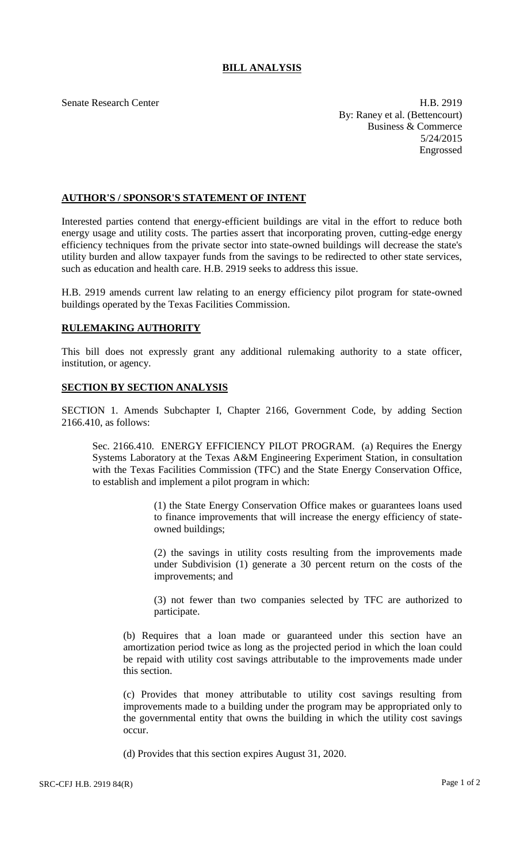# **BILL ANALYSIS**

Senate Research Center **H.B. 2919** By: Raney et al. (Bettencourt) Business & Commerce 5/24/2015 Engrossed

### **AUTHOR'S / SPONSOR'S STATEMENT OF INTENT**

Interested parties contend that energy-efficient buildings are vital in the effort to reduce both energy usage and utility costs. The parties assert that incorporating proven, cutting-edge energy efficiency techniques from the private sector into state-owned buildings will decrease the state's utility burden and allow taxpayer funds from the savings to be redirected to other state services, such as education and health care. H.B. 2919 seeks to address this issue.

H.B. 2919 amends current law relating to an energy efficiency pilot program for state-owned buildings operated by the Texas Facilities Commission.

## **RULEMAKING AUTHORITY**

This bill does not expressly grant any additional rulemaking authority to a state officer, institution, or agency.

### **SECTION BY SECTION ANALYSIS**

SECTION 1. Amends Subchapter I, Chapter 2166, Government Code, by adding Section 2166.410, as follows:

Sec. 2166.410. ENERGY EFFICIENCY PILOT PROGRAM. (a) Requires the Energy Systems Laboratory at the Texas A&M Engineering Experiment Station, in consultation with the Texas Facilities Commission (TFC) and the State Energy Conservation Office, to establish and implement a pilot program in which:

> (1) the State Energy Conservation Office makes or guarantees loans used to finance improvements that will increase the energy efficiency of stateowned buildings;

> (2) the savings in utility costs resulting from the improvements made under Subdivision (1) generate a 30 percent return on the costs of the improvements; and

> (3) not fewer than two companies selected by TFC are authorized to participate.

(b) Requires that a loan made or guaranteed under this section have an amortization period twice as long as the projected period in which the loan could be repaid with utility cost savings attributable to the improvements made under this section.

(c) Provides that money attributable to utility cost savings resulting from improvements made to a building under the program may be appropriated only to the governmental entity that owns the building in which the utility cost savings occur.

(d) Provides that this section expires August 31, 2020.